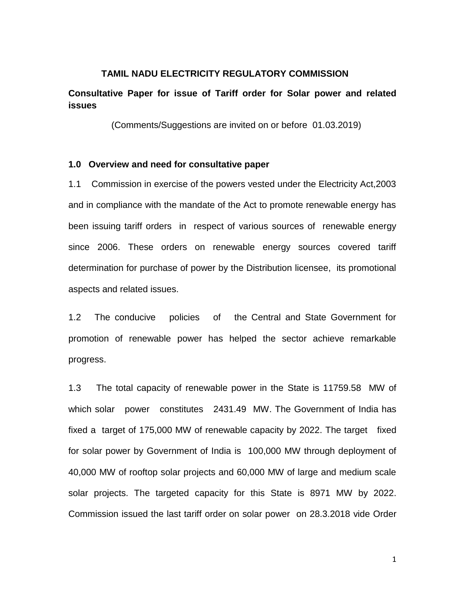### **TAMIL NADU ELECTRICITY REGULATORY COMMISSION**

# **Consultative Paper for issue of Tariff order for Solar power and related issues**

(Comments/Suggestions are invited on or before 01.03.2019)

# **1.0 Overview and need for consultative paper**

1.1 Commission in exercise of the powers vested under the Electricity Act,2003 and in compliance with the mandate of the Act to promote renewable energy has been issuing tariff orders in respect of various sources of renewable energy since 2006. These orders on renewable energy sources covered tariff determination for purchase of power by the Distribution licensee, its promotional aspects and related issues.

1.2 The conducive policies of the Central and State Government for promotion of renewable power has helped the sector achieve remarkable progress.

1.3 The total capacity of renewable power in the State is 11759.58 MW of which solar power constitutes 2431.49 MW. The Government of India has fixed a target of 175,000 MW of renewable capacity by 2022. The target fixed for solar power by Government of India is 100,000 MW through deployment of 40,000 MW of rooftop solar projects and 60,000 MW of large and medium scale solar projects. The targeted capacity for this State is 8971 MW by 2022. Commission issued the last tariff order on solar power on 28.3.2018 vide Order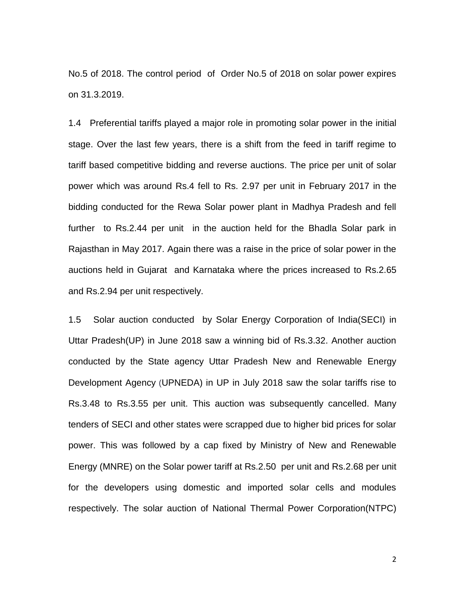No.5 of 2018. The control period of Order No.5 of 2018 on solar power expires on 31.3.2019.

1.4 Preferential tariffs played a major role in promoting solar power in the initial stage. Over the last few years, there is a shift from the feed in tariff regime to tariff based competitive bidding and reverse auctions. The price per unit of solar power which was around Rs.4 fell to Rs. 2.97 per unit in February 2017 in the bidding conducted for the Rewa Solar power plant in Madhya Pradesh and fell further to Rs.2.44 per unit in the auction held for the Bhadla Solar park in Rajasthan in May 2017. Again there was a raise in the price of solar power in the auctions held in Gujarat and Karnataka where the prices increased to Rs.2.65 and Rs.2.94 per unit respectively.

1.5 Solar auction conducted by Solar Energy Corporation of India(SECI) in Uttar Pradesh(UP) in June 2018 saw a winning bid of Rs.3.32. Another auction conducted by the State agency Uttar Pradesh New and Renewable Energy Development Agency (UPNEDA) in UP in July 2018 saw the solar tariffs rise to Rs.3.48 to Rs.3.55 per unit. This auction was subsequently cancelled. Many tenders of SECI and other states were scrapped due to higher bid prices for solar power. This was followed by a cap fixed by Ministry of New and Renewable Energy (MNRE) on the Solar power tariff at Rs.2.50 per unit and Rs.2.68 per unit for the developers using domestic and imported solar cells and modules respectively. The solar auction of National Thermal Power Corporation(NTPC)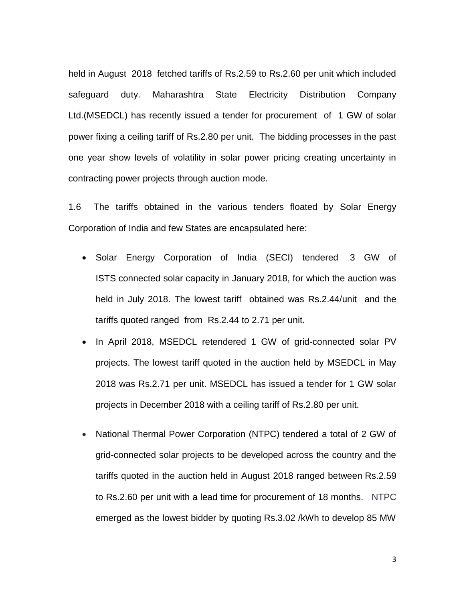held in August 2018 fetched tariffs of Rs.2.59 to Rs.2.60 per unit which included safeguard duty. Maharashtra State Electricity Distribution Company Ltd.(MSEDCL) has recently issued a tender for procurement of 1 GW of solar power fixing a ceiling tariff of Rs.2.80 per unit. The bidding processes in the past one year show levels of volatility in solar power pricing creating uncertainty in contracting power projects through auction mode.

1.6 The tariffs obtained in the various tenders floated by Solar Energy Corporation of India and few States are encapsulated here:

- Solar Energy Corporation of India (SECI) tendered 3 GW of [ISTS](https://mercomindia.com/seci-tender-2gw-ists-solar/) connected solar capacity in January 2018, for which the auction was held in July 2018. The lowest tariff obtained was Rs.2.44/unit and the tariffs quoted ranged from Rs.2.44 to 2.71 per unit.
- In April 2018, MSEDCL retendered 1 GW of grid-connected solar PV projects. The lowest tariff quoted in the auction held by MSEDCL in May 2018 was Rs.2.71 per unit. MSEDCL has issued a tender for 1 GW solar projects in December 2018 with a ceiling tariff of Rs.2.80 per unit.
- National Thermal Power Corporation (NTPC) tendered a total of 2 GW of grid-connected solar projects to be developed across the country and the tariffs quoted in the auction held in August 2018 ranged between Rs.2.59 to Rs.2.60 per unit with a lead time for procurement of 18 months. NTPC emerged as the lowest bidder by quoting Rs.3.02 /kWh to develop 85 MW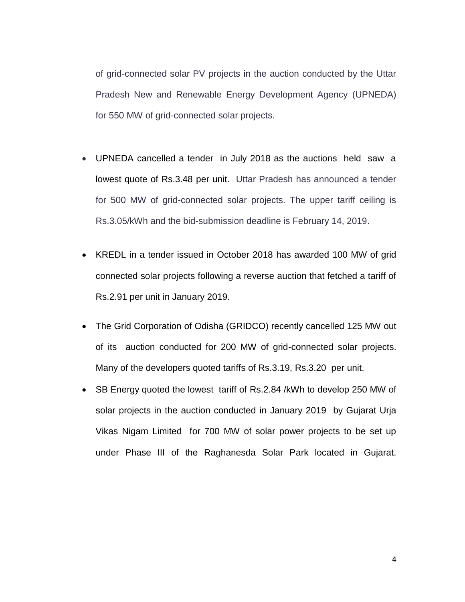of grid-connected solar PV projects in the auction conducted by the Uttar Pradesh New and Renewable Energy Development Agency (UPNEDA) for 550 MW of grid-connected solar projects.

- UPNEDA cancelled a tender in July 2018 as the auctions held saw a lowest quote of Rs.3.48 per unit. Uttar Pradesh has announced a tender for 500 MW of grid-connected solar projects. The upper tariff ceiling is Rs.3.05/kWh and the bid-submission deadline is February 14, 2019.
- KREDL in a tender issued in October 2018 has awarded 100 MW of grid connected solar projects following a reverse auction that fetched a tariff of Rs.2.91 per unit in January 2019.
- The Grid Corporation of Odisha [\(GRIDCO\)](http://www.gridco.co.in/) recently cancelled 125 MW out of its auction conducted for 200 MW of grid-connected solar projects. Many of the developers quoted tariffs of Rs.3.19, Rs.3.20 per unit.
- SB Energy quoted the lowest tariff of Rs.2.84 /kWh to develop 250 MW of solar projects in the auction conducted in January 2019 by Gujarat Urja Vikas Nigam Limited for 700 MW of solar power projects to be set up under Phase III of the Raghanesda Solar Park located in Gujarat.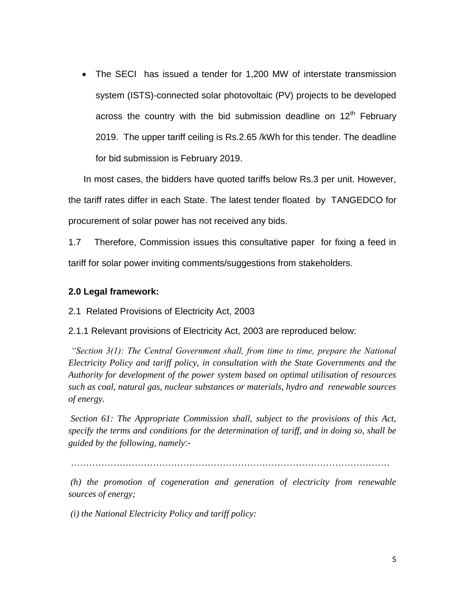The SECI has issued a tender for 1,200 MW of interstate transmission system (ISTS)-connected solar photovoltaic (PV) projects to be developed across the country with the bid submission deadline on  $12<sup>th</sup>$  February 2019. The upper tariff ceiling is Rs.2.65 /kWh for this tender. The deadline for bid submission is February 2019.

 In most cases, the bidders have quoted tariffs below Rs.3 per unit. However, the tariff rates differ in each State. The latest tender floated by TANGEDCO for procurement of solar power has not received any bids.

1.7 Therefore, Commission issues this consultative paper for fixing a feed in tariff for solar power inviting comments/suggestions from stakeholders.

# **2.0 Legal framework:**

2.1 Related Provisions of Electricity Act, 2003

2.1.1 Relevant provisions of Electricity Act, 2003 are reproduced below:

*"Section 3(1): The Central Government shall, from time to time, prepare the National Electricity Policy and tariff policy, in consultation with the State Governments and the Authority for development of the power system based on optimal utilisation of resources such as coal, natural gas, nuclear substances or materials, hydro and renewable sources of energy.* 

*Section 61: The Appropriate Commission shall, subject to the provisions of this Act, specify the terms and conditions for the determination of tariff, and in doing so, shall be guided by the following, namely*:-

……………………………………………………………………………………………

*(h) the promotion of cogeneration and generation of electricity from renewable sources of energy;*

*(i) the National Electricity Policy and tariff policy:*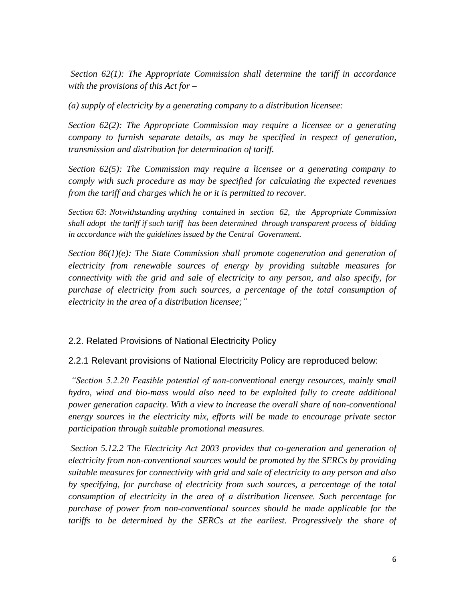*Section 62(1): The Appropriate Commission shall determine the tariff in accordance with the provisions of this Act for –*

*(a) supply of electricity by a generating company to a distribution licensee:* 

*Section 62(2): The Appropriate Commission may require a licensee or a generating company to furnish separate details, as may be specified in respect of generation, transmission and distribution for determination of tariff.* 

*Section 62(5): The Commission may require a licensee or a generating company to comply with such procedure as may be specified for calculating the expected revenues from the tariff and charges which he or it is permitted to recover.*

*Section 63: Notwithstanding anything contained in section 62, the Appropriate Commission shall adopt the tariff if such tariff has been determined through transparent process of bidding in accordance with the guidelines issued by the Central Government.*

*Section 86(1)(e): The State Commission shall promote cogeneration and generation of electricity from renewable sources of energy by providing suitable measures for connectivity with the grid and sale of electricity to any person, and also specify, for purchase of electricity from such sources, a percentage of the total consumption of electricity in the area of a distribution licensee;"*

# 2.2. Related Provisions of National Electricity Policy

# 2.2.1 Relevant provisions of National Electricity Policy are reproduced below:

*"Section 5.2.20 Feasible potential of non-conventional energy resources, mainly small hydro, wind and bio-mass would also need to be exploited fully to create additional power generation capacity. With a view to increase the overall share of non-conventional energy sources in the electricity mix, efforts will be made to encourage private sector participation through suitable promotional measures.* 

*Section 5.12.2 The Electricity Act 2003 provides that co-generation and generation of electricity from non-conventional sources would be promoted by the SERCs by providing suitable measures for connectivity with grid and sale of electricity to any person and also by specifying, for purchase of electricity from such sources, a percentage of the total consumption of electricity in the area of a distribution licensee. Such percentage for purchase of power from non-conventional sources should be made applicable for the tariffs to be determined by the SERCs at the earliest. Progressively the share of*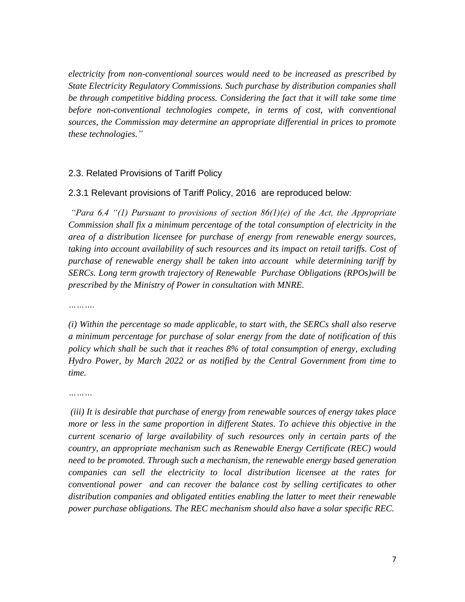*electricity from non-conventional sources would need to be increased as prescribed by State Electricity Regulatory Commissions. Such purchase by distribution companies shall be through competitive bidding process. Considering the fact that it will take some time*  before non-conventional technologies compete, in terms of cost, with conventional *sources, the Commission may determine an appropriate differential in prices to promote these technologies."* 

# 2.3. Related Provisions of Tariff Policy

### 2.3.1 Relevant provisions of Tariff Policy, 2016 are reproduced below:

*"Para 6.4 "(1) Pursuant to provisions of section 86(1)(e) of the Act, the Appropriate Commission shall fix a minimum percentage of the total consumption of electricity in the area of a distribution licensee for purchase of energy from renewable energy sources,*  taking into account availability of such resources and its impact on retail tariffs. Cost of *purchase of renewable energy shall be taken into account while determining tariff by SERCs. Long term growth trajectory of Renewable Purchase Obligations (RPOs)will be prescribed by the Ministry of Power in consultation with MNRE.*

*……….*

*(i) Within the percentage so made applicable, to start with, the SERCs shall also reserve a minimum percentage for purchase of solar energy from the date of notification of this policy which shall be such that it reaches 8% of total consumption of energy, excluding Hydro Power, by March 2022 or as notified by the Central Government from time to time.* 

*………*

*(iii) It is desirable that purchase of energy from renewable sources of energy takes place more or less in the same proportion in different States. To achieve this objective in the current scenario of large availability of such resources only in certain parts of the country, an appropriate mechanism such as Renewable Energy Certificate (REC) would need to be promoted. Through such a mechanism, the renewable energy based generation companies can sell the electricity to local distribution licensee at the rates for conventional power and can recover the balance cost by selling certificates to other distribution companies and obligated entities enabling the latter to meet their renewable power purchase obligations. The REC mechanism should also have a solar specific REC.*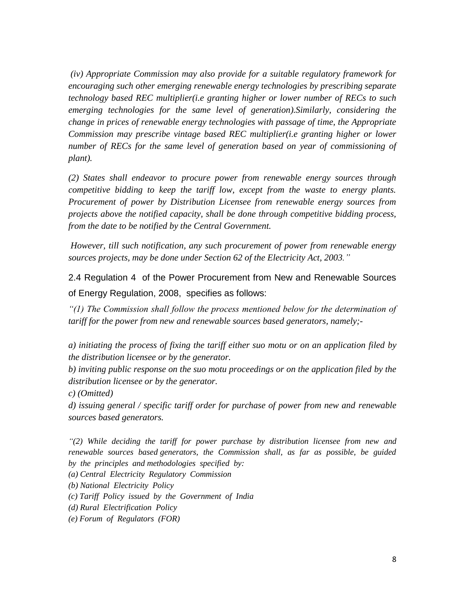*(iv) Appropriate Commission may also provide for a suitable regulatory framework for encouraging such other emerging renewable energy technologies by prescribing separate technology based REC multiplier(i.e granting higher or lower number of RECs to such emerging technologies for the same level of generation).Similarly, considering the change in prices of renewable energy technologies with passage of time, the Appropriate Commission may prescribe vintage based REC multiplier(i.e granting higher or lower number of RECs for the same level of generation based on year of commissioning of plant).* 

*(2) States shall endeavor to procure power from renewable energy sources through competitive bidding to keep the tariff low, except from the waste to energy plants. Procurement of power by Distribution Licensee from renewable energy sources from projects above the notified capacity, shall be done through competitive bidding process, from the date to be notified by the Central Government.* 

*However, till such notification, any such procurement of power from renewable energy sources projects, may be done under Section 62 of the Electricity Act, 2003."*

2.4 Regulation 4 of the Power Procurement from New and Renewable Sources of Energy Regulation, 2008, specifies as follows:

*"(1) The Commission shall follow the process mentioned below for the determination of tariff for the power from new and renewable sources based generators, namely;-*

*a) initiating the process of fixing the tariff either suo motu or on an application filed by the distribution licensee or by the generator.*

*b) inviting public response on the suo motu proceedings or on the application filed by the distribution licensee or by the generator.*

*c) (Omitted)*

*d) issuing general / specific tariff order for purchase of power from new and renewable sources based generators.*

*"(2) While deciding the tariff for power purchase by distribution licensee from new and renewable sources based generators, the Commission shall, as far as possible, be guided by the principles and methodologies specified by:*

*(a) Central Electricity Regulatory Commission*

*(b) National Electricity Policy*

*(c) Tariff Policy issued by the Government of India*

*(d) Rural Electrification Policy*

*(e) Forum of Regulators (FOR)*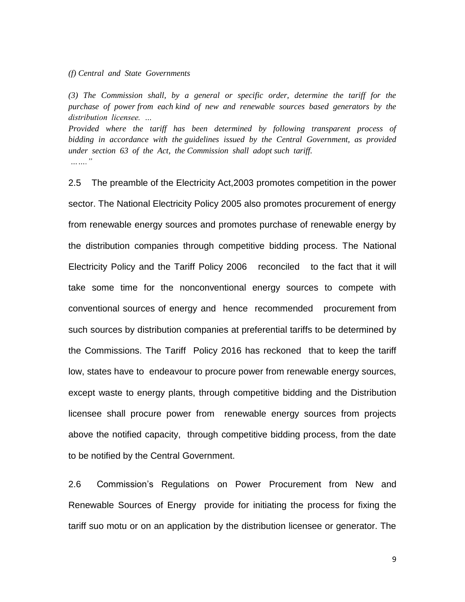*(f) Central and State Governments*

*(3) The Commission shall, by a general or specific order, determine the tariff for the purchase of power from each kind of new and renewable sources based generators by the distribution licensee. …*

*Provided where the tariff has been determined by following transparent process of bidding in accordance with the guidelines issued by the Central Government, as provided under section 63 of the Act, the Commission shall adopt such tariff. ……."*

2.5 The preamble of the Electricity Act,2003 promotes competition in the power sector. The National Electricity Policy 2005 also promotes procurement of energy from renewable energy sources and promotes purchase of renewable energy by the distribution companies through competitive bidding process. The National Electricity Policy and the Tariff Policy 2006 reconciled to the fact that it will take some time for the nonconventional energy sources to compete with conventional sources of energy and hence recommended procurement from such sources by distribution companies at preferential tariffs to be determined by the Commissions. The Tariff Policy 2016 has reckoned that to keep the tariff low, states have to endeavour to procure power from renewable energy sources, except waste to energy plants, through competitive bidding and the Distribution licensee shall procure power from renewable energy sources from projects above the notified capacity, through competitive bidding process, from the date to be notified by the Central Government.

2.6 Commission's Regulations on Power Procurement from New and Renewable Sources of Energy provide for initiating the process for fixing the tariff suo motu or on an application by the distribution licensee or generator. The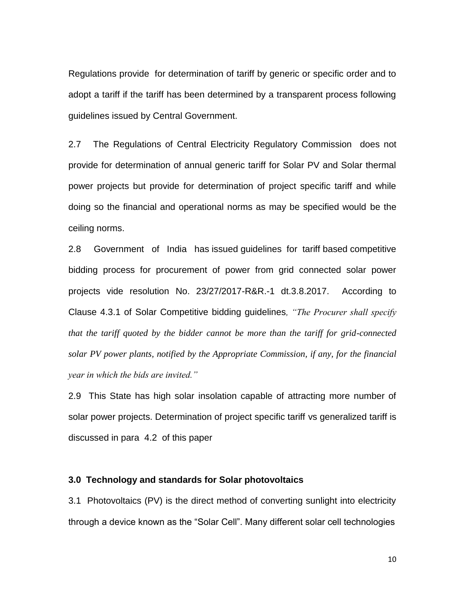Regulations provide for determination of tariff by generic or specific order and to adopt a tariff if the tariff has been determined by a transparent process following guidelines issued by Central Government.

2.7 The Regulations of Central Electricity Regulatory Commission does not provide for determination of annual generic tariff for Solar PV and Solar thermal power projects but provide for determination of project specific tariff and while doing so the financial and operational norms as may be specified would be the ceiling norms.

2.8 Government of India has issued guidelines for tariff based competitive bidding process for procurement of power from grid connected solar power projects vide resolution No. 23/27/2017-R&R.-1 dt.3.8.2017. According to Clause 4.3.1 of Solar Competitive bidding guidelines*, "The Procurer shall specify that the tariff quoted by the bidder cannot be more than the tariff for grid-connected solar PV power plants, notified by the Appropriate Commission, if any, for the financial year in which the bids are invited."*

2.9 This State has high solar insolation capable of attracting more number of solar power projects. Determination of project specific tariff vs generalized tariff is discussed in para 4.2 of this paper

#### **3.0 Technology and standards for Solar photovoltaics**

3.1 Photovoltaics (PV) is the direct method of converting sunlight into electricity through a device known as the "Solar Cell". Many different solar cell technologies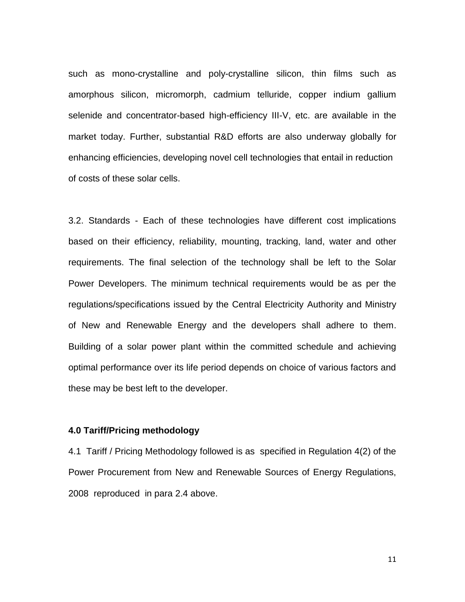such as mono-crystalline and poly-crystalline silicon, thin films such as amorphous silicon, micromorph, cadmium telluride, copper indium gallium selenide and concentrator-based high-efficiency III-V, etc. are available in the market today. Further, substantial R&D efforts are also underway globally for enhancing efficiencies, developing novel cell technologies that entail in reduction of costs of these solar cells.

3.2. Standards - Each of these technologies have different cost implications based on their efficiency, reliability, mounting, tracking, land, water and other requirements. The final selection of the technology shall be left to the Solar Power Developers. The minimum technical requirements would be as per the regulations/specifications issued by the Central Electricity Authority and Ministry of New and Renewable Energy and the developers shall adhere to them. Building of a solar power plant within the committed schedule and achieving optimal performance over its life period depends on choice of various factors and these may be best left to the developer.

### **4.0 Tariff/Pricing methodology**

4.1 Tariff / Pricing Methodology followed is as specified in Regulation 4(2) of the Power Procurement from New and Renewable Sources of Energy Regulations, 2008 reproduced in para 2.4 above.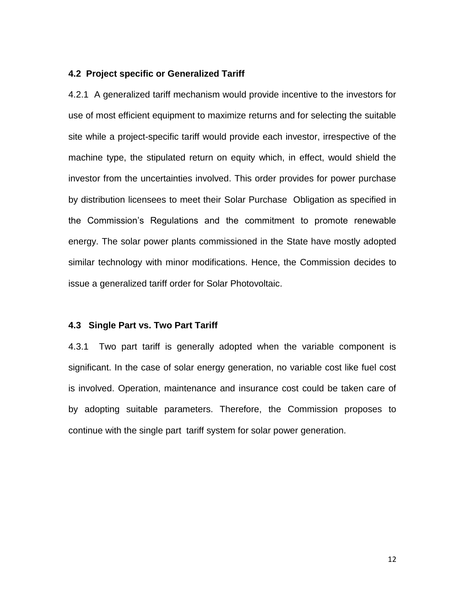#### **4.2 Project specific or Generalized Tariff**

4.2.1 A generalized tariff mechanism would provide incentive to the investors for use of most efficient equipment to maximize returns and for selecting the suitable site while a project-specific tariff would provide each investor, irrespective of the machine type, the stipulated return on equity which, in effect, would shield the investor from the uncertainties involved. This order provides for power purchase by distribution licensees to meet their Solar Purchase Obligation as specified in the Commission's Regulations and the commitment to promote renewable energy. The solar power plants commissioned in the State have mostly adopted similar technology with minor modifications. Hence, the Commission decides to issue a generalized tariff order for Solar Photovoltaic.

#### **4.3 Single Part vs. Two Part Tariff**

4.3.1 Two part tariff is generally adopted when the variable component is significant. In the case of solar energy generation, no variable cost like fuel cost is involved. Operation, maintenance and insurance cost could be taken care of by adopting suitable parameters. Therefore, the Commission proposes to continue with the single part tariff system for solar power generation.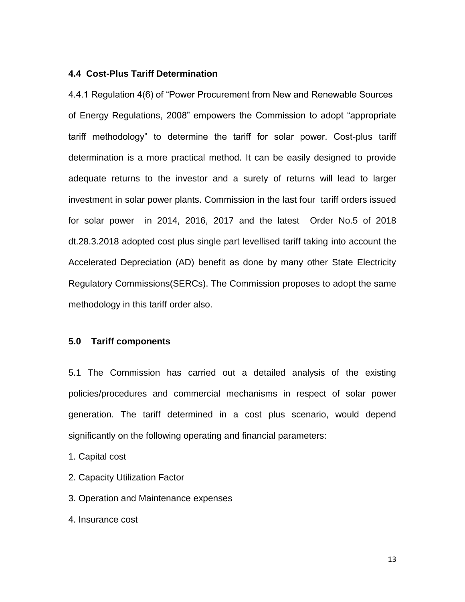# **4.4 Cost-Plus Tariff Determination**

4.4.1 Regulation 4(6) of "Power Procurement from New and Renewable Sources of Energy Regulations, 2008" empowers the Commission to adopt "appropriate tariff methodology" to determine the tariff for solar power. Cost-plus tariff determination is a more practical method. It can be easily designed to provide adequate returns to the investor and a surety of returns will lead to larger investment in solar power plants. Commission in the last four tariff orders issued for solar power in 2014, 2016, 2017 and the latest Order No.5 of 2018 dt.28.3.2018 adopted cost plus single part levellised tariff taking into account the Accelerated Depreciation (AD) benefit as done by many other State Electricity Regulatory Commissions(SERCs). The Commission proposes to adopt the same methodology in this tariff order also.

# **5.0 Tariff components**

5.1 The Commission has carried out a detailed analysis of the existing policies/procedures and commercial mechanisms in respect of solar power generation. The tariff determined in a cost plus scenario, would depend significantly on the following operating and financial parameters:

1. Capital cost

- 2. Capacity Utilization Factor
- 3. Operation and Maintenance expenses
- 4. Insurance cost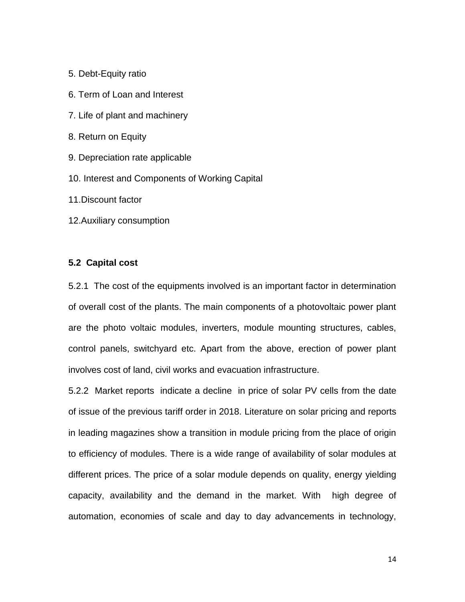- 5. Debt-Equity ratio
- 6. Term of Loan and Interest
- 7. Life of plant and machinery
- 8. Return on Equity
- 9. Depreciation rate applicable
- 10. Interest and Components of Working Capital
- 11.Discount factor
- 12.Auxiliary consumption

### **5.2 Capital cost**

5.2.1 The cost of the equipments involved is an important factor in determination of overall cost of the plants. The main components of a photovoltaic power plant are the photo voltaic modules, inverters, module mounting structures, cables, control panels, switchyard etc. Apart from the above, erection of power plant involves cost of land, civil works and evacuation infrastructure.

5.2.2 Market reports indicate a decline in price of solar PV cells from the date of issue of the previous tariff order in 2018. Literature on solar pricing and reports in leading magazines show a transition in module pricing from the place of origin to efficiency of modules. There is a wide range of availability of solar modules at different prices. The price of a solar module depends on quality, energy yielding capacity, availability and the demand in the market. With high degree of automation, economies of scale and day to day advancements in technology,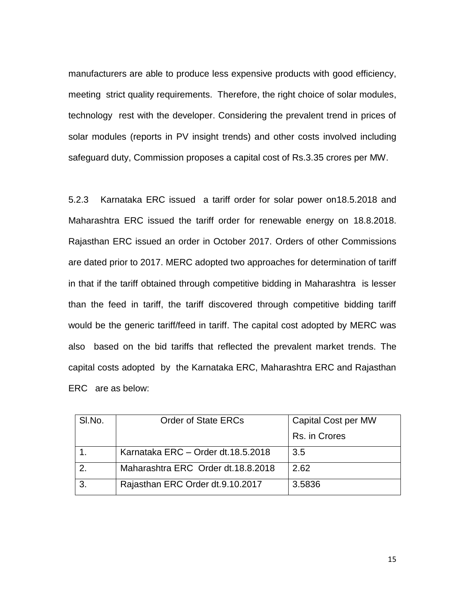manufacturers are able to produce less expensive products with good efficiency, meeting strict quality requirements. Therefore, the right choice of solar modules, technology rest with the developer. Considering the prevalent trend in prices of solar modules (reports in PV insight trends) and other costs involved including safeguard duty, Commission proposes a capital cost of Rs.3.35 crores per MW.

5.2.3 Karnataka ERC issued a tariff order for solar power on18.5.2018 and Maharashtra ERC issued the tariff order for renewable energy on 18.8.2018. Rajasthan ERC issued an order in October 2017. Orders of other Commissions are dated prior to 2017. MERC adopted two approaches for determination of tariff in that if the tariff obtained through competitive bidding in Maharashtra is lesser than the feed in tariff, the tariff discovered through competitive bidding tariff would be the generic tariff/feed in tariff. The capital cost adopted by MERC was also based on the bid tariffs that reflected the prevalent market trends. The capital costs adopted by the Karnataka ERC, Maharashtra ERC and Rajasthan ERC are as below:

| SI.No. | <b>Order of State ERCs</b>         | <b>Capital Cost per MW</b> |
|--------|------------------------------------|----------------------------|
|        |                                    | Rs. in Crores              |
|        | Karnataka ERC - Order dt.18.5.2018 | 3.5                        |
| 2.     | Maharashtra ERC Order dt.18.8.2018 | 2.62                       |
| 3.     | Rajasthan ERC Order dt.9.10.2017   | 3.5836                     |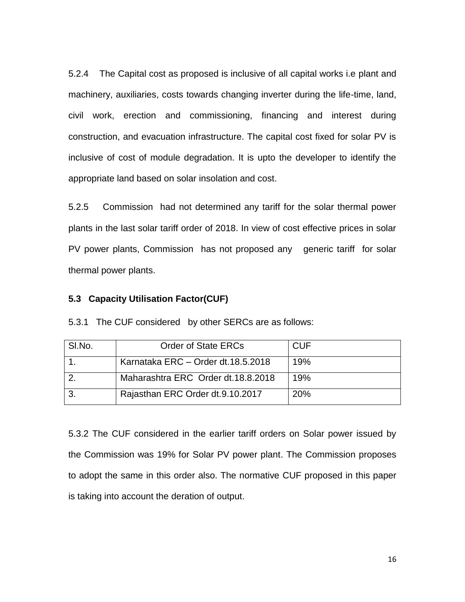5.2.4 The Capital cost as proposed is inclusive of all capital works i.e plant and machinery, auxiliaries, costs towards changing inverter during the life-time, land, civil work, erection and commissioning, financing and interest during construction, and evacuation infrastructure. The capital cost fixed for solar PV is inclusive of cost of module degradation. It is upto the developer to identify the appropriate land based on solar insolation and cost.

5.2.5 Commission had not determined any tariff for the solar thermal power plants in the last solar tariff order of 2018. In view of cost effective prices in solar PV power plants, Commission has not proposed any generic tariff for solar thermal power plants.

# **5.3 Capacity Utilisation Factor(CUF)**

5.3.1 The CUF considered by other SERCs are as follows:

| SI.No. | <b>Order of State ERCs</b>         | CUF |
|--------|------------------------------------|-----|
|        | Karnataka ERC - Order dt.18.5.2018 | 19% |
|        | Maharashtra ERC Order dt.18.8.2018 | 19% |
|        | Rajasthan ERC Order dt.9.10.2017   | 20% |

5.3.2 The CUF considered in the earlier tariff orders on Solar power issued by the Commission was 19% for Solar PV power plant. The Commission proposes to adopt the same in this order also. The normative CUF proposed in this paper is taking into account the deration of output.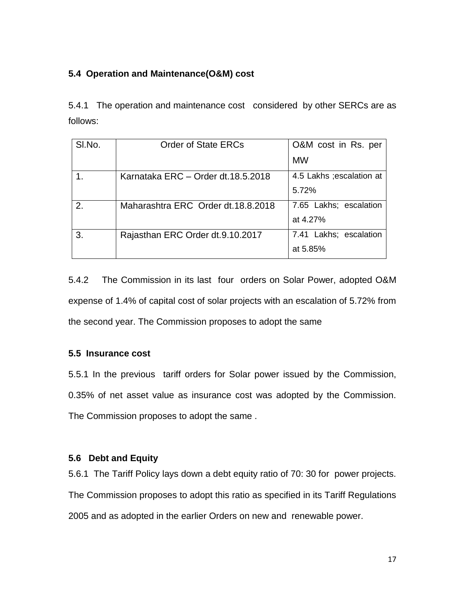# **5.4 Operation and Maintenance(O&M) cost**

5.4.1 The operation and maintenance cost considered by other SERCs are as follows:

| SI.No. | <b>Order of State ERCs</b>          | O&M cost in Rs. per       |
|--------|-------------------------------------|---------------------------|
|        |                                     | <b>MW</b>                 |
|        | Karnataka ERC - Order dt.18.5.2018  | 4.5 Lakhs ; escalation at |
|        |                                     | 5.72%                     |
| 2.     | Maharashtra ERC Order dt. 18.8.2018 | 7.65 Lakhs; escalation    |
|        |                                     | at 4.27%                  |
| 3.     | Rajasthan ERC Order dt.9.10.2017    | 7.41 Lakhs; escalation    |
|        |                                     | at 5.85%                  |

5.4.2 The Commission in its last four orders on Solar Power, adopted O&M expense of 1.4% of capital cost of solar projects with an escalation of 5.72% from the second year. The Commission proposes to adopt the same

# **5.5 Insurance cost**

5.5.1 In the previous tariff orders for Solar power issued by the Commission, 0.35% of net asset value as insurance cost was adopted by the Commission. The Commission proposes to adopt the same .

# **5.6 Debt and Equity**

5.6.1 The Tariff Policy lays down a debt equity ratio of 70: 30 for power projects. The Commission proposes to adopt this ratio as specified in its Tariff Regulations 2005 and as adopted in the earlier Orders on new and renewable power.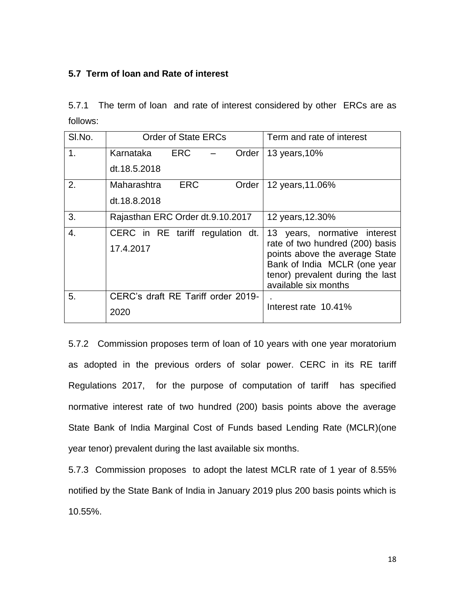# **5.7 Term of loan and Rate of interest**

5.7.1 The term of loan and rate of interest considered by other ERCs are as follows:

| SI.No.           | <b>Order of State ERCs</b>         | Term and rate of interest                                         |
|------------------|------------------------------------|-------------------------------------------------------------------|
| 1.               | ERC<br>Karnataka<br>Order          | 13 years, 10%                                                     |
|                  | dt.18.5.2018                       |                                                                   |
| 2.               | <b>ERC</b><br>Maharashtra<br>Order | 12 years, 11.06%                                                  |
|                  | dt.18.8.2018                       |                                                                   |
| 3.               | Rajasthan ERC Order dt.9.10.2017   | 12 years, 12.30%                                                  |
| $\overline{4}$ . | CERC in RE tariff regulation dt.   | 13 years, normative interest                                      |
|                  | 17.4.2017                          | rate of two hundred (200) basis<br>points above the average State |
|                  |                                    | Bank of India MCLR (one year                                      |
|                  |                                    | tenor) prevalent during the last<br>available six months          |
| 5.               | CERC's draft RE Tariff order 2019- |                                                                   |
|                  | 2020                               | Interest rate 10.41%                                              |

5.7.2 Commission proposes term of loan of 10 years with one year moratorium as adopted in the previous orders of solar power. CERC in its RE tariff Regulations 2017, for the purpose of computation of tariff has specified normative interest rate of two hundred (200) basis points above the average State Bank of India Marginal Cost of Funds based Lending Rate (MCLR)(one year tenor) prevalent during the last available six months.

5.7.3 Commission proposes to adopt the latest MCLR rate of 1 year of 8.55% notified by the State Bank of India in January 2019 plus 200 basis points which is 10.55%.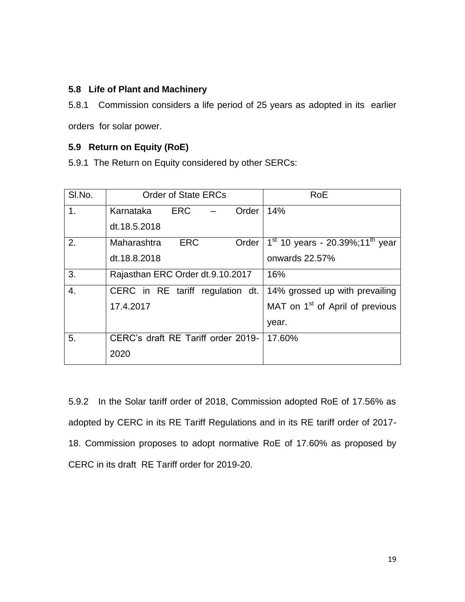# **5.8 Life of Plant and Machinery**

5.8.1 Commission considers a life period of 25 years as adopted in its earlier orders for solar power.

# **5.9 Return on Equity (RoE)**

5.9.1 The Return on Equity considered by other SERCs:

| SI.No.           | <b>Order of State ERCs</b>         | RoE                                           |
|------------------|------------------------------------|-----------------------------------------------|
| 1 <sub>1</sub>   | ERC<br>Order<br>Karnataka          | 14%                                           |
|                  | dt.18.5.2018                       |                                               |
| 2.               | <b>ERC</b><br>Maharashtra<br>Order | $1st$ 10 years - 20.39%;11 <sup>th</sup> year |
|                  | dt.18.8.2018                       | onwards 22.57%                                |
| 3.               | Rajasthan ERC Order dt.9.10.2017   | 16%                                           |
| $\overline{4}$ . | CERC in RE tariff regulation dt.   | 14% grossed up with prevailing                |
|                  | 17.4.2017                          | MAT on 1 <sup>st</sup> of April of previous   |
|                  |                                    | year.                                         |
| 5.               | CERC's draft RE Tariff order 2019- | 17.60%                                        |
|                  | 2020                               |                                               |

5.9.2 In the Solar tariff order of 2018, Commission adopted RoE of 17.56% as adopted by CERC in its RE Tariff Regulations and in its RE tariff order of 2017- 18. Commission proposes to adopt normative RoE of 17.60% as proposed by CERC in its draft RE Tariff order for 2019-20.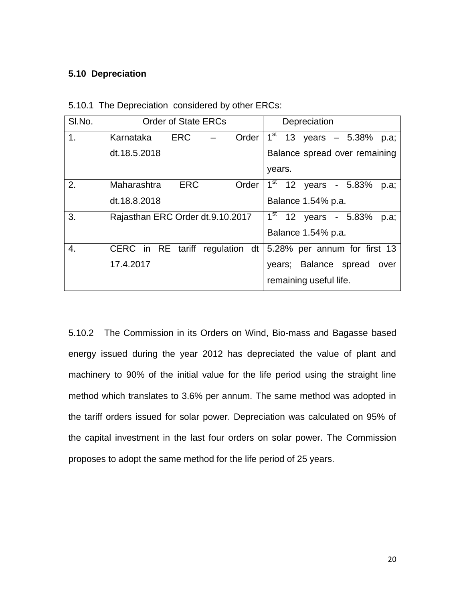# **5.10 Depreciation**

| SI.No.         | <b>Order of State ERCs</b>       | Depreciation                      |  |  |  |
|----------------|----------------------------------|-----------------------------------|--|--|--|
| 1 <sub>1</sub> | ERC.<br>Order<br>Karnataka       | $1^{st}$ 13 years - 5.38%<br>p.a; |  |  |  |
|                | dt.18.5.2018                     | Balance spread over remaining     |  |  |  |
|                |                                  | years.                            |  |  |  |
| 2.             | ERC<br>Maharashtra<br>Order      | $1st$ 12 years - 5.83%<br>p.a;    |  |  |  |
|                | dt.18.8.2018                     | Balance 1.54% p.a.                |  |  |  |
| 3.             | Rajasthan ERC Order dt.9.10.2017 | $1st$ 12 years - 5.83%<br>p.a;    |  |  |  |
|                |                                  | Balance 1.54% p.a.                |  |  |  |
| 4.             | CERC in RE tariff regulation dt  | 5.28% per annum for first 13      |  |  |  |
|                | 17.4.2017                        | years; Balance spread<br>over     |  |  |  |
|                |                                  | remaining useful life.            |  |  |  |

5.10.1 The Depreciation considered by other ERCs:

5.10.2 The Commission in its Orders on Wind, Bio-mass and Bagasse based energy issued during the year 2012 has depreciated the value of plant and machinery to 90% of the initial value for the life period using the straight line method which translates to 3.6% per annum. The same method was adopted in the tariff orders issued for solar power. Depreciation was calculated on 95% of the capital investment in the last four orders on solar power. The Commission proposes to adopt the same method for the life period of 25 years.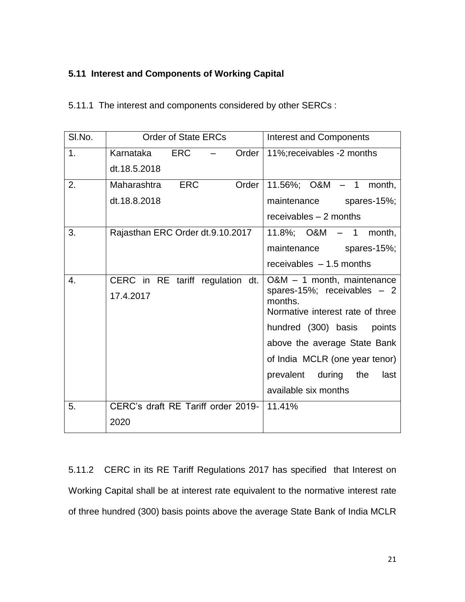# **5.11 Interest and Components of Working Capital**

| 5.11.1 The interest and components considered by other SERCs : |  |
|----------------------------------------------------------------|--|
|----------------------------------------------------------------|--|

| SI.No. | <b>Order of State ERCs</b><br><b>Interest and Components</b><br><b>ERC</b><br>11%; receivables -2 months<br>Order<br>ERC<br>Order<br>11.56%; $O&M - 1$ month,<br>maintenance spares-15%;<br>receivables - 2 months<br>$11.8\%$ ; O&M $-1$<br>month,<br>maintenance spares-15%;<br>receivables $-1.5$ months<br>$O&M - 1$ month, maintenance<br>spares-15%; receivables $-2$<br>months.<br>Normative interest rate of three<br>hundred (300) basis<br>points |                                    |  |  |  |  |  |  |
|--------|-------------------------------------------------------------------------------------------------------------------------------------------------------------------------------------------------------------------------------------------------------------------------------------------------------------------------------------------------------------------------------------------------------------------------------------------------------------|------------------------------------|--|--|--|--|--|--|
| 1.     | Karnataka                                                                                                                                                                                                                                                                                                                                                                                                                                                   |                                    |  |  |  |  |  |  |
|        | dt.18.5.2018                                                                                                                                                                                                                                                                                                                                                                                                                                                |                                    |  |  |  |  |  |  |
| 2.     | Maharashtra                                                                                                                                                                                                                                                                                                                                                                                                                                                 |                                    |  |  |  |  |  |  |
|        | dt.18.8.2018                                                                                                                                                                                                                                                                                                                                                                                                                                                |                                    |  |  |  |  |  |  |
|        |                                                                                                                                                                                                                                                                                                                                                                                                                                                             |                                    |  |  |  |  |  |  |
| 3.     | Rajasthan ERC Order dt.9.10.2017                                                                                                                                                                                                                                                                                                                                                                                                                            |                                    |  |  |  |  |  |  |
|        |                                                                                                                                                                                                                                                                                                                                                                                                                                                             |                                    |  |  |  |  |  |  |
|        |                                                                                                                                                                                                                                                                                                                                                                                                                                                             |                                    |  |  |  |  |  |  |
| 4.     | CERC in RE tariff regulation dt.                                                                                                                                                                                                                                                                                                                                                                                                                            |                                    |  |  |  |  |  |  |
|        | 17.4.2017                                                                                                                                                                                                                                                                                                                                                                                                                                                   |                                    |  |  |  |  |  |  |
|        |                                                                                                                                                                                                                                                                                                                                                                                                                                                             |                                    |  |  |  |  |  |  |
|        |                                                                                                                                                                                                                                                                                                                                                                                                                                                             |                                    |  |  |  |  |  |  |
|        |                                                                                                                                                                                                                                                                                                                                                                                                                                                             | above the average State Bank       |  |  |  |  |  |  |
|        |                                                                                                                                                                                                                                                                                                                                                                                                                                                             | of India MCLR (one year tenor)     |  |  |  |  |  |  |
|        |                                                                                                                                                                                                                                                                                                                                                                                                                                                             | prevalent<br>during<br>the<br>last |  |  |  |  |  |  |
|        |                                                                                                                                                                                                                                                                                                                                                                                                                                                             | available six months               |  |  |  |  |  |  |
| 5.     | CERC's draft RE Tariff order 2019-   11.41%                                                                                                                                                                                                                                                                                                                                                                                                                 |                                    |  |  |  |  |  |  |
|        | 2020                                                                                                                                                                                                                                                                                                                                                                                                                                                        |                                    |  |  |  |  |  |  |

5.11.2 CERC in its RE Tariff Regulations 2017 has specified that Interest on Working Capital shall be at interest rate equivalent to the normative interest rate of three hundred (300) basis points above the average State Bank of India MCLR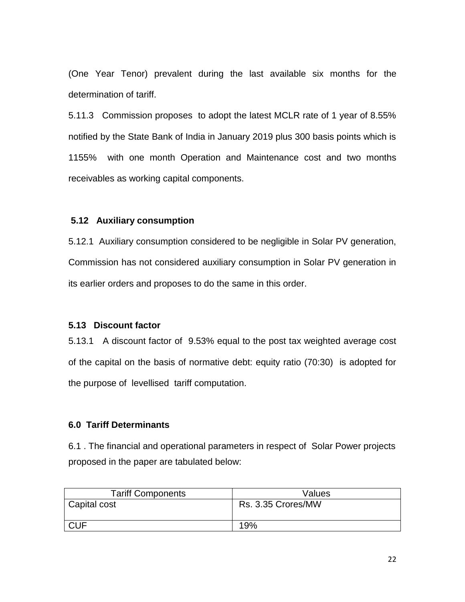(One Year Tenor) prevalent during the last available six months for the determination of tariff.

5.11.3 Commission proposes to adopt the latest MCLR rate of 1 year of 8.55% notified by the State Bank of India in January 2019 plus 300 basis points which is 1155% with one month Operation and Maintenance cost and two months receivables as working capital components.

### **5.12 Auxiliary consumption**

5.12.1 Auxiliary consumption considered to be negligible in Solar PV generation, Commission has not considered auxiliary consumption in Solar PV generation in its earlier orders and proposes to do the same in this order.

# **5.13 Discount factor**

5.13.1 A discount factor of 9.53% equal to the post tax weighted average cost of the capital on the basis of normative debt: equity ratio (70:30) is adopted for the purpose of levellised tariff computation.

# **6.0 Tariff Determinants**

6.1 . The financial and operational parameters in respect of Solar Power projects proposed in the paper are tabulated below:

| <b>Tariff Components</b> | Values             |
|--------------------------|--------------------|
| Capital cost             | Rs. 3.35 Crores/MW |
| <b>CUF</b>               | 19%                |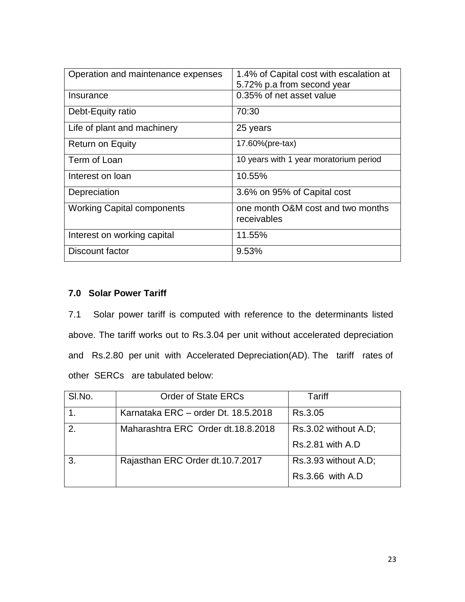| Operation and maintenance expenses | 1.4% of Capital cost with escalation at<br>5.72% p.a from second year |
|------------------------------------|-----------------------------------------------------------------------|
| Insurance                          | 0.35% of net asset value                                              |
| Debt-Equity ratio                  | 70:30                                                                 |
| Life of plant and machinery        | 25 years                                                              |
| <b>Return on Equity</b>            | 17.60%(pre-tax)                                                       |
| Term of Loan                       | 10 years with 1 year moratorium period                                |
| Interest on loan                   | 10.55%                                                                |
| Depreciation                       | 3.6% on 95% of Capital cost                                           |
| <b>Working Capital components</b>  | one month O&M cost and two months<br>receivables                      |
| Interest on working capital        | 11.55%                                                                |
| Discount factor                    | 9.53%                                                                 |

# **7.0 Solar Power Tariff**

7.1 Solar power tariff is computed with reference to the determinants listed above. The tariff works out to Rs.3.04 per unit without accelerated depreciation and Rs.2.80 per unit with Accelerated Depreciation(AD). The tariff rates of other SERCs are tabulated below:

| SI.No. | <b>Order of State ERCs</b>          | Tariff                  |
|--------|-------------------------------------|-------------------------|
|        | Karnataka ERC - order Dt. 18.5.2018 | Rs.3.05                 |
| 2.     | Maharashtra ERC Order dt.18.8.2018  | Rs.3.02 without A.D;    |
|        |                                     | <b>Rs.2.81 with A.D</b> |
| 3      | Rajasthan ERC Order dt.10.7.2017    | Rs.3.93 without A.D;    |
|        |                                     | $Rs.3.66$ with $A.D$    |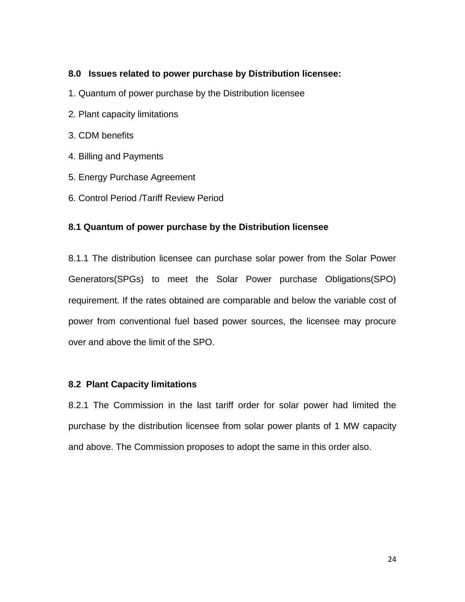# **8.0 Issues related to power purchase by Distribution licensee:**

- 1. Quantum of power purchase by the Distribution licensee
- 2. Plant capacity limitations
- 3. CDM benefits
- 4. Billing and Payments
- 5. Energy Purchase Agreement
- 6. Control Period /Tariff Review Period

# **8.1 Quantum of power purchase by the Distribution licensee**

8.1.1 The distribution licensee can purchase solar power from the Solar Power Generators(SPGs) to meet the Solar Power purchase Obligations(SPO) requirement. If the rates obtained are comparable and below the variable cost of power from conventional fuel based power sources, the licensee may procure over and above the limit of the SPO.

# **8.2 Plant Capacity limitations**

8.2.1 The Commission in the last tariff order for solar power had limited the purchase by the distribution licensee from solar power plants of 1 MW capacity and above. The Commission proposes to adopt the same in this order also.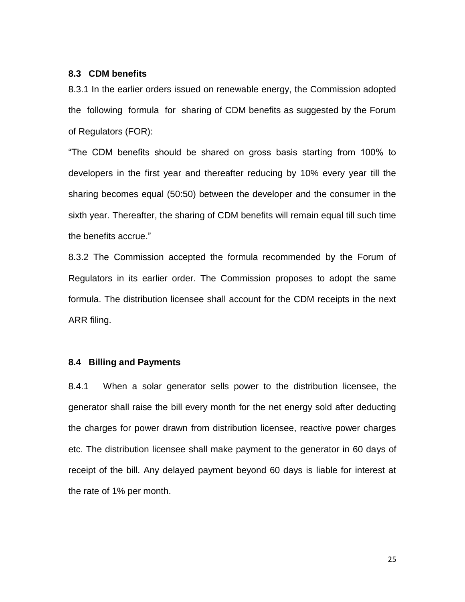### **8.3 CDM benefits**

8.3.1 In the earlier orders issued on renewable energy, the Commission adopted the following formula for sharing of CDM benefits as suggested by the Forum of Regulators (FOR):

"The CDM benefits should be shared on gross basis starting from 100% to developers in the first year and thereafter reducing by 10% every year till the sharing becomes equal (50:50) between the developer and the consumer in the sixth year. Thereafter, the sharing of CDM benefits will remain equal till such time the benefits accrue."

8.3.2 The Commission accepted the formula recommended by the Forum of Regulators in its earlier order. The Commission proposes to adopt the same formula. The distribution licensee shall account for the CDM receipts in the next ARR filing.

### **8.4 Billing and Payments**

8.4.1 When a solar generator sells power to the distribution licensee, the generator shall raise the bill every month for the net energy sold after deducting the charges for power drawn from distribution licensee, reactive power charges etc. The distribution licensee shall make payment to the generator in 60 days of receipt of the bill. Any delayed payment beyond 60 days is liable for interest at the rate of 1% per month.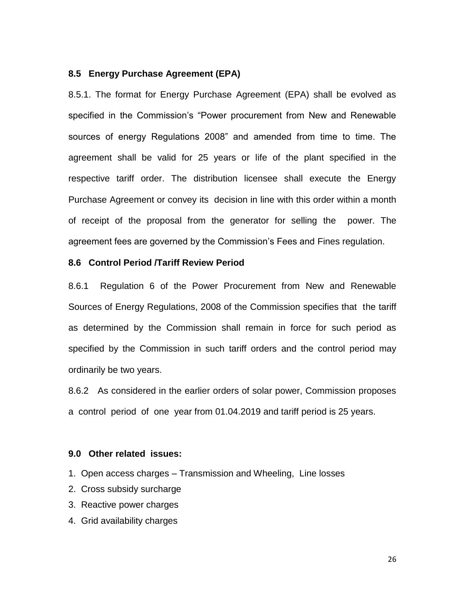### **8.5 Energy Purchase Agreement (EPA)**

8.5.1. The format for Energy Purchase Agreement (EPA) shall be evolved as specified in the Commission's "Power procurement from New and Renewable sources of energy Regulations 2008" and amended from time to time. The agreement shall be valid for 25 years or life of the plant specified in the respective tariff order. The distribution licensee shall execute the Energy Purchase Agreement or convey its decision in line with this order within a month of receipt of the proposal from the generator for selling the power. The agreement fees are governed by the Commission's Fees and Fines regulation.

### **8.6 Control Period /Tariff Review Period**

8.6.1 Regulation 6 of the Power Procurement from New and Renewable Sources of Energy Regulations, 2008 of the Commission specifies that the tariff as determined by the Commission shall remain in force for such period as specified by the Commission in such tariff orders and the control period may ordinarily be two years.

8.6.2 As considered in the earlier orders of solar power, Commission proposes a control period of one year from 01.04.2019 and tariff period is 25 years.

### **9.0 Other related issues:**

- 1. Open access charges Transmission and Wheeling, Line losses
- 2. Cross subsidy surcharge
- 3. Reactive power charges
- 4. Grid availability charges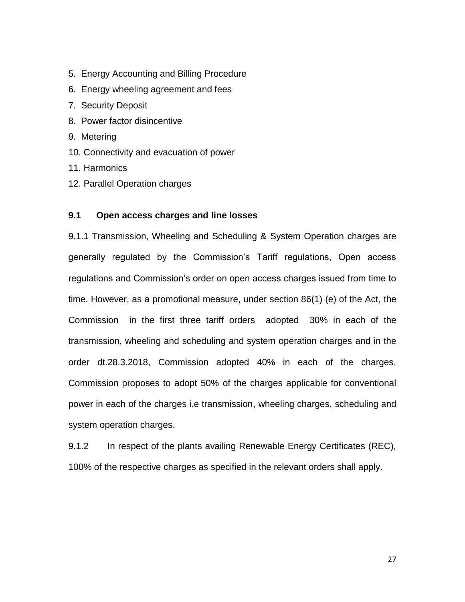- 5. Energy Accounting and Billing Procedure
- 6. Energy wheeling agreement and fees
- 7. Security Deposit
- 8. Power factor disincentive
- 9. Metering
- 10. Connectivity and evacuation of power
- 11. Harmonics
- 12. Parallel Operation charges

### **9.1 Open access charges and line losses**

9.1.1 Transmission, Wheeling and Scheduling & System Operation charges are generally regulated by the Commission's Tariff regulations, Open access regulations and Commission's order on open access charges issued from time to time. However, as a promotional measure, under section 86(1) (e) of the Act, the Commission in the first three tariff orders adopted 30% in each of the transmission, wheeling and scheduling and system operation charges and in the order dt.28.3.2018, Commission adopted 40% in each of the charges. Commission proposes to adopt 50% of the charges applicable for conventional power in each of the charges i.e transmission, wheeling charges, scheduling and system operation charges.

9.1.2 In respect of the plants availing Renewable Energy Certificates (REC), 100% of the respective charges as specified in the relevant orders shall apply.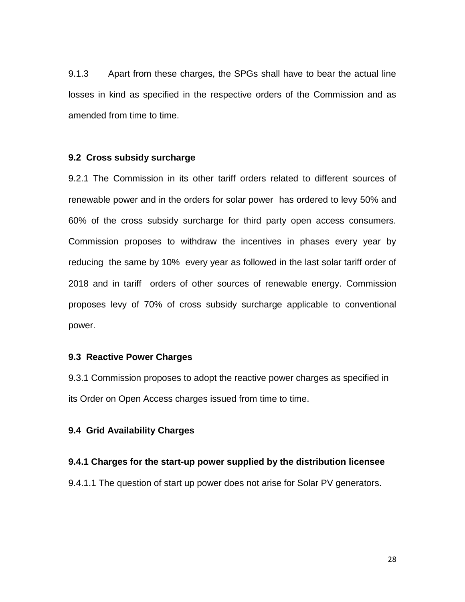9.1.3 Apart from these charges, the SPGs shall have to bear the actual line losses in kind as specified in the respective orders of the Commission and as amended from time to time.

### **9.2 Cross subsidy surcharge**

9.2.1 The Commission in its other tariff orders related to different sources of renewable power and in the orders for solar power has ordered to levy 50% and 60% of the cross subsidy surcharge for third party open access consumers. Commission proposes to withdraw the incentives in phases every year by reducing the same by 10% every year as followed in the last solar tariff order of 2018 and in tariff orders of other sources of renewable energy. Commission proposes levy of 70% of cross subsidy surcharge applicable to conventional power.

# **9.3 Reactive Power Charges**

9.3.1 Commission proposes to adopt the reactive power charges as specified in its Order on Open Access charges issued from time to time.

### **9.4 Grid Availability Charges**

#### **9.4.1 Charges for the start-up power supplied by the distribution licensee**

9.4.1.1 The question of start up power does not arise for Solar PV generators.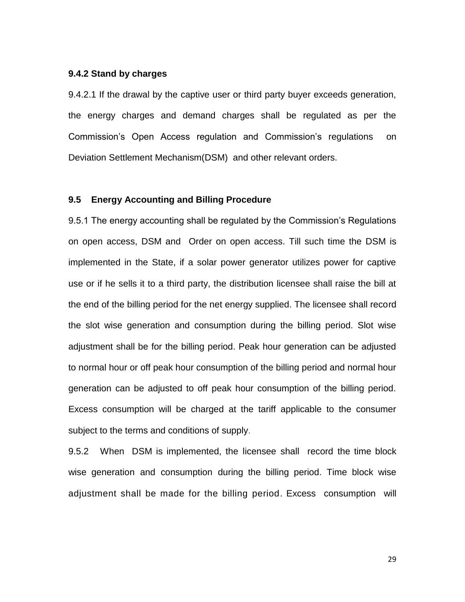#### **9.4.2 Stand by charges**

9.4.2.1 If the drawal by the captive user or third party buyer exceeds generation, the energy charges and demand charges shall be regulated as per the Commission's Open Access regulation and Commission's regulations on Deviation Settlement Mechanism(DSM) and other relevant orders.

# **9.5 Energy Accounting and Billing Procedure**

9.5.1 The energy accounting shall be regulated by the Commission's Regulations on open access, DSM and Order on open access. Till such time the DSM is implemented in the State, if a solar power generator utilizes power for captive use or if he sells it to a third party, the distribution licensee shall raise the bill at the end of the billing period for the net energy supplied. The licensee shall record the slot wise generation and consumption during the billing period. Slot wise adjustment shall be for the billing period. Peak hour generation can be adjusted to normal hour or off peak hour consumption of the billing period and normal hour generation can be adjusted to off peak hour consumption of the billing period. Excess consumption will be charged at the tariff applicable to the consumer subject to the terms and conditions of supply.

9.5.2 When DSM is implemented, the licensee shall record the time block wise generation and consumption during the billing period. Time block wise adjustment shall be made for the billing period. Excess consumption will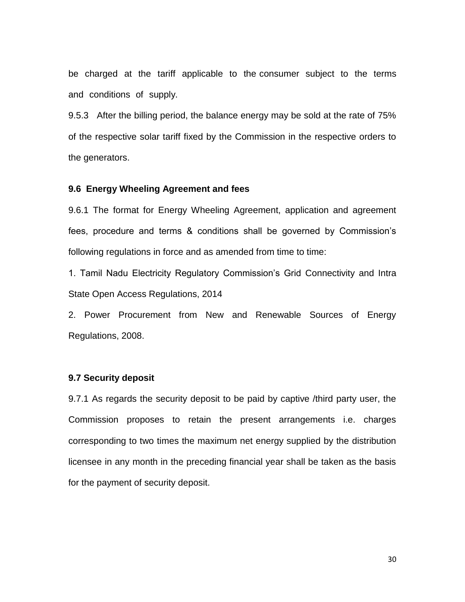be charged at the tariff applicable to the consumer subject to the terms and conditions of supply.

9.5.3 After the billing period, the balance energy may be sold at the rate of 75% of the respective solar tariff fixed by the Commission in the respective orders to the generators.

#### **9.6 Energy Wheeling Agreement and fees**

9.6.1 The format for Energy Wheeling Agreement, application and agreement fees, procedure and terms & conditions shall be governed by Commission's following regulations in force and as amended from time to time:

1. Tamil Nadu Electricity Regulatory Commission's Grid Connectivity and Intra State Open Access Regulations, 2014

2. Power Procurement from New and Renewable Sources of Energy Regulations, 2008.

### **9.7 Security deposit**

9.7.1 As regards the security deposit to be paid by captive /third party user, the Commission proposes to retain the present arrangements i.e. charges corresponding to two times the maximum net energy supplied by the distribution licensee in any month in the preceding financial year shall be taken as the basis for the payment of security deposit.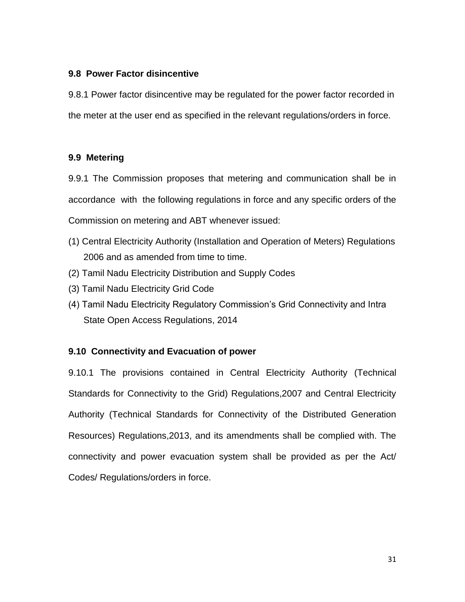# **9.8 Power Factor disincentive**

9.8.1 Power factor disincentive may be regulated for the power factor recorded in the meter at the user end as specified in the relevant regulations/orders in force.

# **9.9 Metering**

9.9.1 The Commission proposes that metering and communication shall be in accordance with the following regulations in force and any specific orders of the Commission on metering and ABT whenever issued:

- (1) Central Electricity Authority (Installation and Operation of Meters) Regulations 2006 and as amended from time to time.
- (2) Tamil Nadu Electricity Distribution and Supply Codes
- (3) Tamil Nadu Electricity Grid Code
- (4) Tamil Nadu Electricity Regulatory Commission's Grid Connectivity and Intra State Open Access Regulations, 2014

# **9.10 Connectivity and Evacuation of power**

9.10.1 The provisions contained in Central Electricity Authority (Technical Standards for Connectivity to the Grid) Regulations,2007 and Central Electricity Authority (Technical Standards for Connectivity of the Distributed Generation Resources) Regulations,2013, and its amendments shall be complied with. The connectivity and power evacuation system shall be provided as per the Act/ Codes/ Regulations/orders in force.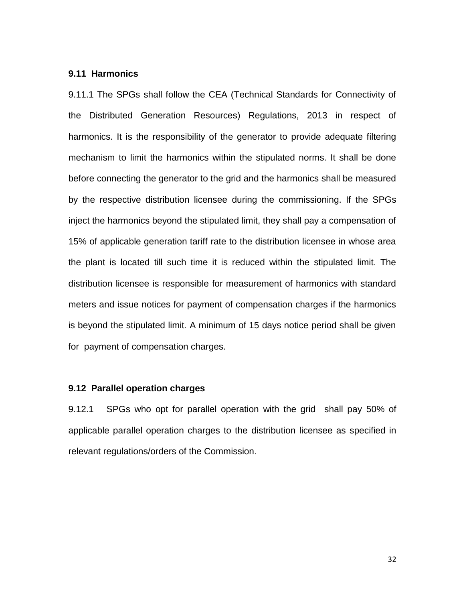#### **9.11 Harmonics**

9.11.1 The SPGs shall follow the CEA (Technical Standards for Connectivity of the Distributed Generation Resources) Regulations, 2013 in respect of harmonics. It is the responsibility of the generator to provide adequate filtering mechanism to limit the harmonics within the stipulated norms. It shall be done before connecting the generator to the grid and the harmonics shall be measured by the respective distribution licensee during the commissioning. If the SPGs inject the harmonics beyond the stipulated limit, they shall pay a compensation of 15% of applicable generation tariff rate to the distribution licensee in whose area the plant is located till such time it is reduced within the stipulated limit. The distribution licensee is responsible for measurement of harmonics with standard meters and issue notices for payment of compensation charges if the harmonics is beyond the stipulated limit. A minimum of 15 days notice period shall be given for payment of compensation charges.

# **9.12 Parallel operation charges**

9.12.1 SPGs who opt for parallel operation with the grid shall pay 50% of applicable parallel operation charges to the distribution licensee as specified in relevant regulations/orders of the Commission.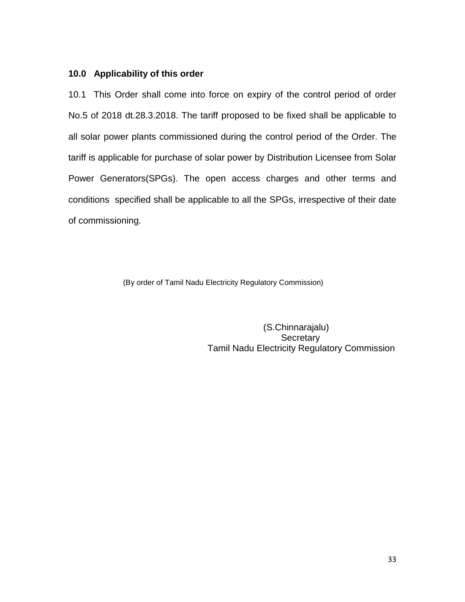# **10.0 Applicability of this order**

10.1 This Order shall come into force on expiry of the control period of order No.5 of 2018 dt.28.3.2018. The tariff proposed to be fixed shall be applicable to all solar power plants commissioned during the control period of the Order. The tariff is applicable for purchase of solar power by Distribution Licensee from Solar Power Generators(SPGs). The open access charges and other terms and conditions specified shall be applicable to all the SPGs, irrespective of their date of commissioning.

(By order of Tamil Nadu Electricity Regulatory Commission)

 (S.Chinnarajalu) **Secretary** Tamil Nadu Electricity Regulatory Commission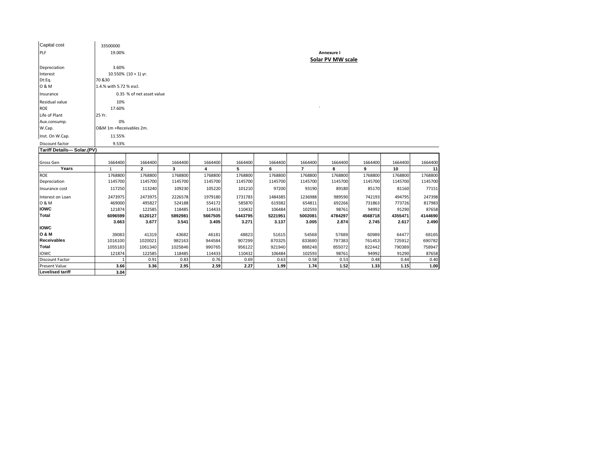| Capital cost                                                                                       | 33500000                                    |                                                                                                     |         |         |         |         |                |            |         |         |         |
|----------------------------------------------------------------------------------------------------|---------------------------------------------|-----------------------------------------------------------------------------------------------------|---------|---------|---------|---------|----------------|------------|---------|---------|---------|
| <b>PLF</b>                                                                                         | 19.00%                                      |                                                                                                     |         |         |         |         |                | Annexure I |         |         |         |
| Depreciation<br>Interest<br>Dt:Eq.<br>0 & M<br>Insurance<br>Residual value<br>ROE<br>Life of Plant | 3.60%<br>70 & 30<br>10%<br>17.60%<br>25 Yr. | Solar PV MW scale<br>10.550% $(10 + 1)$ yr.<br>1.4.% with 5.72 % escl.<br>0.35 % of net asset value |         |         |         |         |                |            |         |         |         |
| Aux.consump.                                                                                       | 0%                                          |                                                                                                     |         |         |         |         |                |            |         |         |         |
| W.Cap.                                                                                             | O&M 1m +Receivables 2m.                     |                                                                                                     |         |         |         |         |                |            |         |         |         |
| Inst. On W.Cap.                                                                                    | 11.55%                                      |                                                                                                     |         |         |         |         |                |            |         |         |         |
| Discount factor                                                                                    | 9.53%                                       |                                                                                                     |         |         |         |         |                |            |         |         |         |
| Tariff Details--- Solar.(PV)                                                                       |                                             |                                                                                                     |         |         |         |         |                |            |         |         |         |
| Gross Gen                                                                                          | 1664400                                     | 1664400                                                                                             | 1664400 | 1664400 | 1664400 | 1664400 | 1664400        | 1664400    | 1664400 | 1664400 | 1664400 |
| Years                                                                                              | 1                                           | $\overline{2}$                                                                                      | 3       | 4       | 5       | 6       | $\overline{7}$ | 8          | 9       | 10      | 11      |
| ROE                                                                                                | 1768800                                     | 1768800                                                                                             | 1768800 | 1768800 | 1768800 | 1768800 | 1768800        | 1768800    | 1768800 | 1768800 | 1768800 |
| Depreciation                                                                                       | 1145700                                     | 1145700                                                                                             | 1145700 | 1145700 | 1145700 | 1145700 | 1145700        | 1145700    | 1145700 | 1145700 | 1145700 |
| Insurance cost                                                                                     | 117250                                      | 113240                                                                                              | 109230  | 105220  | 101210  | 97200   | 93190          | 89180      | 85170   | 81160   | 77151   |
| Interest on Loan                                                                                   | 2473975                                     | 2473975                                                                                             | 2226578 | 1979180 | 1731783 | 1484385 | 1236988        | 989590     | 742193  | 494795  | 247398  |
| 0 & M                                                                                              | 469000                                      | 495827                                                                                              | 524188  | 554172  | 585870  | 619382  | 654811         | 692266     | 731863  | 773726  | 817983  |
| <b>IOWC</b>                                                                                        | 121874                                      | 122585                                                                                              | 118485  | 114433  | 110432  | 106484  | 102593         | 98761      | 94992   | 91290   | 87658   |
| <b>Total</b>                                                                                       | 6096599                                     | 6120127                                                                                             | 5892981 | 5667505 | 5443795 | 5221951 | 5002081        | 4784297    | 4568718 | 4355471 | 4144690 |
| <b>IOWC</b>                                                                                        | 3.663                                       | 3.677                                                                                               | 3.541   | 3.405   | 3.271   | 3.137   | 3.005          | 2.874      | 2.745   | 2.617   | 2.490   |
| <b>O &amp; M</b>                                                                                   | 39083                                       | 41319                                                                                               | 43682   | 46181   | 48823   | 51615   | 54568          | 57689      | 60989   | 64477   | 68165   |
| <b>Receivables</b>                                                                                 | 1016100                                     | 1020021                                                                                             | 982163  | 944584  | 907299  | 870325  | 833680         | 797383     | 761453  | 725912  | 690782  |
| Total                                                                                              | 1055183                                     | 1061340                                                                                             | 1025846 | 990765  | 956122  | 921940  | 888248         | 855072     | 822442  | 790389  | 758947  |
| <b>IOWC</b>                                                                                        | 121874                                      | 122585                                                                                              | 118485  | 114433  | 110432  | 106484  | 102593         | 98761      | 94992   | 91290   | 87658   |
| <b>Discount Factor</b>                                                                             |                                             | 0.91                                                                                                | 0.83    | 0.76    | 0.69    | 0.63    | 0.58           | 0.53       | 0.48    | 0.44    | 0.40    |
| <b>Present Value</b>                                                                               | 3.66                                        | 3.36                                                                                                | 2.95    | 2.59    | 2.27    | 1.99    | 1.74           | 1.52       | 1.33    | 1.15    | 1.00    |
| <b>Levelised tariff</b>                                                                            | 3.04                                        |                                                                                                     |         |         |         |         |                |            |         |         |         |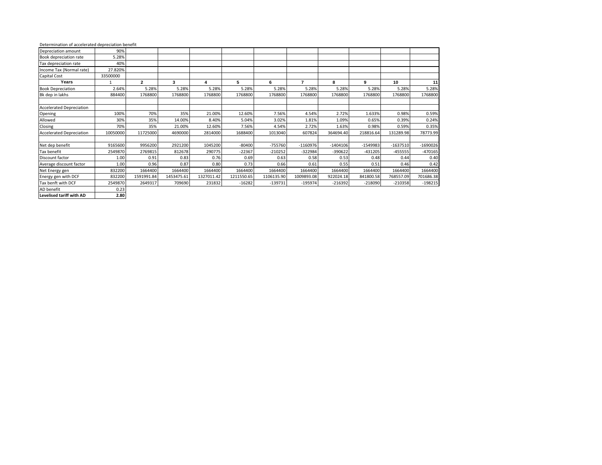#### Determination of accelerated depreciation benefit

| Depreciation amount             | 90%      |                |            |            |            |            |            |            |            |            |            |
|---------------------------------|----------|----------------|------------|------------|------------|------------|------------|------------|------------|------------|------------|
| Book depreciation rate          | 5.28%    |                |            |            |            |            |            |            |            |            |            |
| Tax depreciation rate           | 40%      |                |            |            |            |            |            |            |            |            |            |
| Income Tax (Normal rate)        | 27.820%  |                |            |            |            |            |            |            |            |            |            |
| Capital Cost                    | 33500000 |                |            |            |            |            |            |            |            |            |            |
| Years                           |          | $\overline{2}$ | 3          | 4          | 5          | 6          | 7          | 8          | 9          | 10         | 11         |
| <b>Book Depreciation</b>        | 2.64%    | 5.28%          | 5.28%      | 5.28%      | 5.28%      | 5.28%      | 5.28%      | 5.28%      | 5.28%      | 5.28%      | 5.28%      |
| Bk dep in lakhs                 | 884400   | 1768800        | 1768800    | 1768800    | 1768800    | 1768800    | 1768800    | 1768800    | 1768800    | 1768800    | 1768800    |
|                                 |          |                |            |            |            |            |            |            |            |            |            |
| <b>Accelerated Depreciation</b> |          |                |            |            |            |            |            |            |            |            |            |
| Opening                         | 100%     | 70%            | 35%        | 21.00%     | 12.60%     | 7.56%      | 4.54%      | 2.72%      | 1.633%     | 0.98%      | 0.59%      |
| Allowed                         | 30%      | 35%            | 14.00%     | 8.40%      | 5.04%      | 3.02%      | 1.81%      | 1.09%      | 0.65%      | 0.39%      | 0.24%      |
| Closing                         | 70%      | 35%            | 21.00%     | 12.60%     | 7.56%      | 4.54%      | 2.72%      | 1.63%      | 0.98%      | 0.59%      | 0.35%      |
| <b>Accelerated Depreciation</b> | 10050000 | 11725000       | 4690000    | 2814000    | 1688400    | 1013040    | 607824     | 364694.40  | 218816.64  | 131289.98  | 78773.99   |
|                                 |          |                |            |            |            |            |            |            |            |            |            |
| Net dep benefit                 | 9165600  | 9956200        | 2921200    | 1045200    | $-80400$   | $-755760$  | $-1160976$ | $-1404106$ | $-1549983$ | $-1637510$ | $-1690026$ |
| Tax benefit                     | 2549870  | 2769815        | 812678     | 290775     | $-22367$   | $-210252$  | $-322984$  | -390622    | $-431205$  | $-455555$  | $-470165$  |
| Discount factor                 | 1.00     | 0.91           | 0.83       | 0.76       | 0.69       | 0.63       | 0.58       | 0.53       | 0.48       | 0.44       | 0.40       |
| Average discount factor         | 1.00     | 0.96           | 0.87       | 0.80       | 0.73       | 0.66       | 0.61       | 0.55       | 0.51       | 0.46       | 0.42       |
| Net Energy gen                  | 832200   | 1664400        | 1664400    | 1664400    | 1664400    | 1664400    | 1664400    | 1664400    | 1664400    | 1664400    | 1664400    |
| Energy gen with DCF             | 832200   | 1591991.84     | 1453475.61 | 1327011.42 | 1211550.65 | 1106135.90 | 1009893.08 | 922024.18  | 841800.58  | 768557.09  | 701686.38  |
| Tax benft with DCF              | 2549870  | 2649317        | 709690     | 231832     | $-16282$   | $-139731$  | $-195974$  | $-216392$  | $-218090$  | $-210358$  | $-198215$  |
| AD benefit                      | 0.23     |                |            |            |            |            |            |            |            |            |            |

**Levelised tariff with AD 2.80**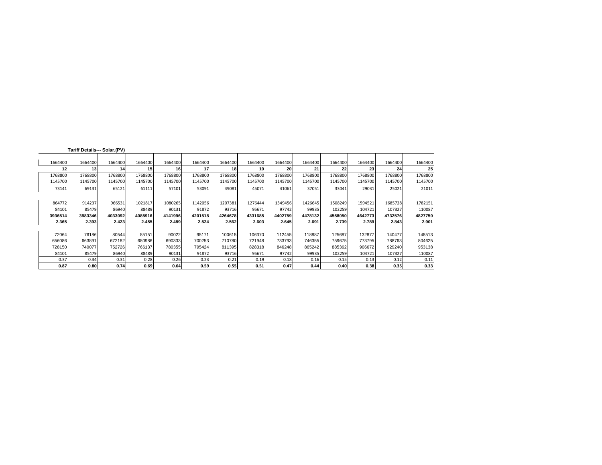|         |         | Tariff Details--- Solar.(PV) |                 |         |         |         |         |                 |         |         |         |         |         |
|---------|---------|------------------------------|-----------------|---------|---------|---------|---------|-----------------|---------|---------|---------|---------|---------|
|         |         |                              |                 |         |         |         |         |                 |         |         |         |         |         |
| 1664400 | 1664400 | 1664400                      | 1664400         | 1664400 | 1664400 | 1664400 | 1664400 | 1664400         | 1664400 | 1664400 | 1664400 | 1664400 | 1664400 |
|         |         |                              | 15 <sup>1</sup> |         |         |         |         | 20 <sup>1</sup> |         | 22      |         |         |         |
| 1768800 | 1768800 | 1768800                      | 1768800         | 1768800 | 1768800 | 1768800 | 1768800 | 1768800         | 1768800 | 1768800 | 1768800 | 1768800 | 1768800 |
| 1145700 | 1145700 | 1145700                      | 1145700         | 1145700 | 1145700 | 1145700 | 1145700 | 1145700         | 1145700 | 1145700 | 1145700 | 1145700 | 1145700 |
| 73141   | 69131   | 65121                        | 61111           | 57101   | 53091   | 49081   | 45071   | 41061           | 37051   | 33041   | 29031   | 25021   | 21011   |
| 864772  | 914237  | 966531                       | 1021817         | 1080265 | 1142056 | 1207381 | 1276444 | 1349456         | 1426645 | 1508249 | 1594521 | 1685728 | 1782151 |
| 84101   | 85479   | 86940                        | 88489           | 90131   | 91872   | 93716   | 95671   | 97742           | 99935   | 102259  | 104721  | 107327  | 110087  |
| 3936514 | 3983346 | 4033092                      | 4085916         | 4141996 | 4201518 | 4264678 | 4331685 | 4402759         | 4478132 | 4558050 | 4642773 | 4732576 | 4827750 |
| 2.365   | 2.393   | 2.423                        | 2.455           | 2.489   | 2.524   | 2.562   | 2.603   | 2.645           | 2.691   | 2.739   | 2.789   | 2.843   | 2.901   |
| 72064   | 76186   | 80544                        | 85151           | 90022   | 95171   | 100615  | 106370  | 112455          | 118887  | 125687  | 132877  | 140477  | 148513  |
| 656086  | 663891  | 672182                       | 680986          | 690333  | 700253  | 710780  | 721948  | 733793          | 746355  | 759675  | 773795  | 788763  | 804625  |
| 728150  | 740077  | 752726                       | 766137          | 780355  | 795424  | 811395  | 828318  | 846248          | 865242  | 885362  | 906672  | 929240  | 953138  |
| 84101   | 85479   | 86940                        | 88489           | 90131   | 91872   | 93716   | 95671   | 97742           | 99935   | 102259  | 104721  | 107327  | 110087  |
| 0.37    | 0.34    | 0.31                         | 0.28            | 0.26    | 0.23    | 0.21    | 0.19    | 0.18            | 0.16    | 0.15    | 0.13    | 0.12    | 0.11    |
| 0.87    | 0.80    | 0.74                         | 0.69            | 0.64    | 0.59    | 0.55    | 0.51    | 0.47            | 0.44    | 0.40    | 0.38    | 0.35    | 0.33    |